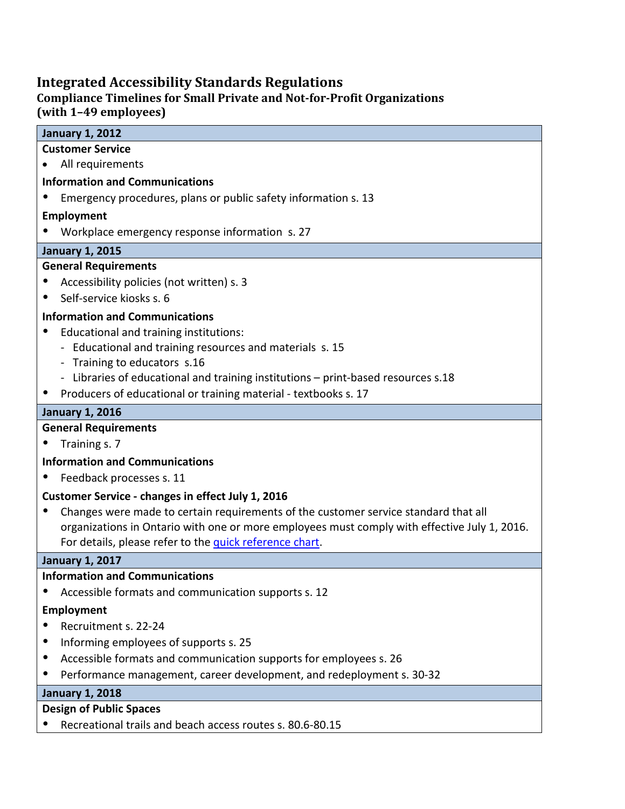## **Integrated Accessibility Standards Regulations**

#### **Compliance Timelines for Small Private and Not-for-Profit Organizations (with 1–49 employees)**

# **January 1, 2012 Customer Service** • All requirements **Information and Communications** Emergency procedures, plans or public safety information s. 13 **Employment** Workplace emergency response information s. 27 **January 1, 2015 General Requirements** Accessibility policies (not written) s. 3 Self-service kiosks s. 6 **Information and Communications** Educational and training institutions: - Educational and training resources and materials s. 15 - Training to educators s.16 - Libraries of educational and training institutions – print-based resources s.18 • Producers of educational or training material - textbooks s. 17 **January 1, 2016 General Requirements** • Training s. 7 **Information and Communications** Feedback processes s. 11 **Customer Service - changes in effect July 1, 2016** Changes were made to certain requirements of the customer service standard that all organizations in Ontario with one or more employees must comply with effective July 1, 2016. For details, please refer to the [quick reference chart.](http://accessforward.ca/resources/Quick%20Reference%20Guide%20(1).pdf) **January 1, 2017 Information and Communications** Accessible formats and communication supports s. 12 **Employment** Recruitment s. 22-24 Informing employees of supports s. 25 Accessible formats and communication supports for employees s. 26 Performance management, career development, and redeployment s. 30-32 **January 1, 2018**

#### **Design of Public Spaces**

Recreational trails and beach access routes s. 80.6-80.15